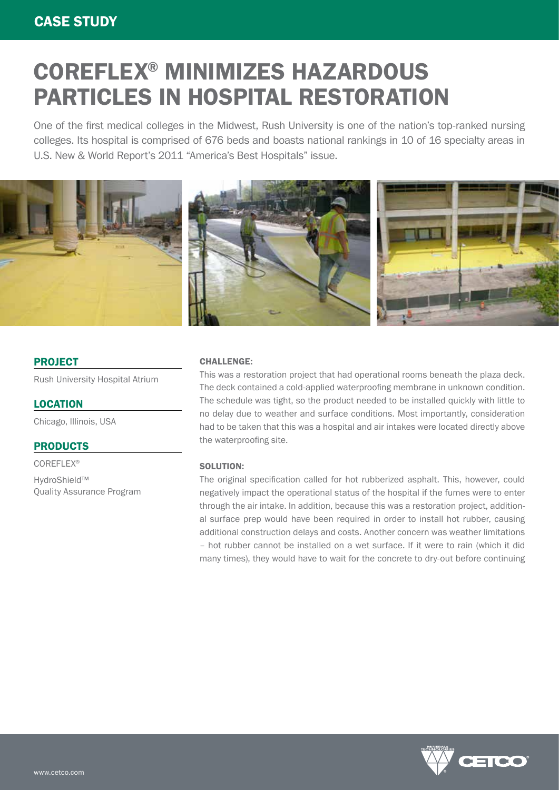# COREFLEX® MINIMIZES HAZARDOUS PARTICLES IN HOSPITAL RESTORATION

One of the first medical colleges in the Midwest, Rush University is one of the nation's top-ranked nursing colleges. Its hospital is comprised of 676 beds and boasts national rankings in 10 of 16 specialty areas in U.S. New & World Report's 2011 "America's Best Hospitals" issue.



### PROJECT

Rush University Hospital Atrium

LOCATION Chicago, Illinois, USA

## PRODUCTS

COREFLEX® HydroShield™ Quality Assurance Program

#### CHALLENGE:

This was a restoration project that had operational rooms beneath the plaza deck. The deck contained a cold-applied waterproofing membrane in unknown condition. The schedule was tight, so the product needed to be installed quickly with little to no delay due to weather and surface conditions. Most importantly, consideration had to be taken that this was a hospital and air intakes were located directly above the waterproofing site.

#### SOLUTION:

The original specification called for hot rubberized asphalt. This, however, could negatively impact the operational status of the hospital if the fumes were to enter through the air intake. In addition, because this was a restoration project, additional surface prep would have been required in order to install hot rubber, causing additional construction delays and costs. Another concern was weather limitations – hot rubber cannot be installed on a wet surface. If it were to rain (which it did many times), they would have to wait for the concrete to dry-out before continuing